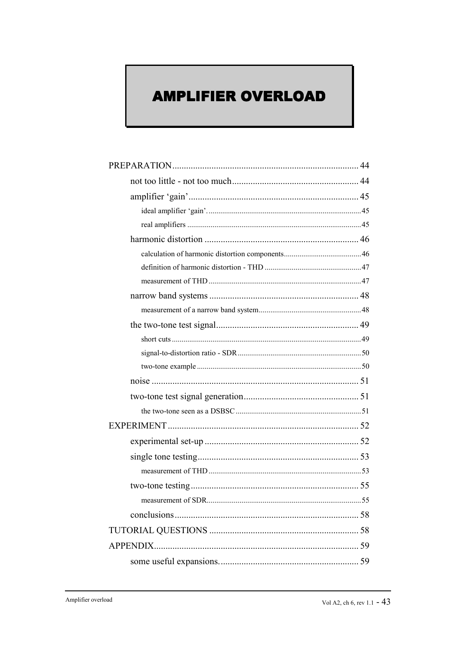# **AMPLIFIER OVERLOAD**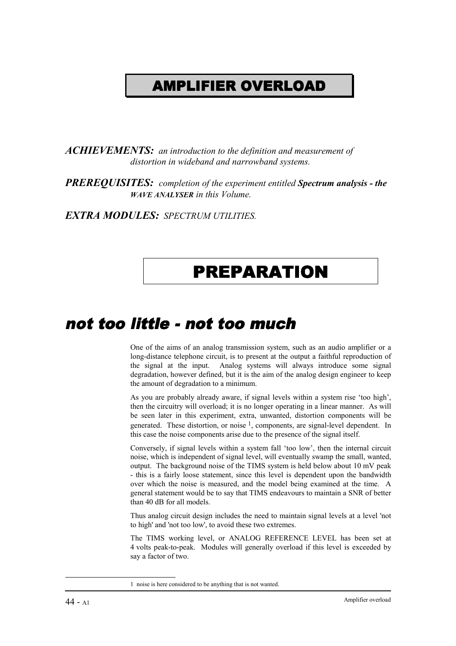# AMPLIFIER OVERLOAD

*ACHIEVEMENTS: an introduction to the definition and measurement of distortion in wideband and narrowband systems.*

*PREREQUISITES: completion of the experiment entitled Spectrum analysis - the WAVE ANALYSER in this Volume.*

*EXTRA MODULES: SPECTRUM UTILITIES.*

# PREPARATION

### not too little - not too much

One of the aims of an analog transmission system, such as an audio amplifier or a long-distance telephone circuit, is to present at the output a faithful reproduction of the signal at the input. Analog systems will always introduce some signal degradation, however defined, but it is the aim of the analog design engineer to keep the amount of degradation to a minimum.

As you are probably already aware, if signal levels within a system rise 'too high', then the circuitry will overload; it is no longer operating in a linear manner. As will be seen later in this experiment, extra, unwanted, distortion components will be generated. These distortion, or noise  $<sup>1</sup>$ , components, are signal-level dependent. In</sup> this case the noise components arise due to the presence of the signal itself.

Conversely, if signal levels within a system fall 'too low', then the internal circuit noise, which is independent of signal level, will eventually swamp the small, wanted, output. The background noise of the TIMS system is held below about 10 mV peak - this is a fairly loose statement, since this level is dependent upon the bandwidth over which the noise is measured, and the model being examined at the time. A general statement would be to say that TIMS endeavours to maintain a SNR of better than 40 dB for all models.

Thus analog circuit design includes the need to maintain signal levels at a level 'not to high' and 'not too low', to avoid these two extremes.

The TIMS working level, or ANALOG REFERENCE LEVEL has been set at 4 volts peak-to-peak. Modules will generally overload if this level is exceeded by say a factor of two.

<sup>1</sup> noise is here considered to be anything that is not wanted.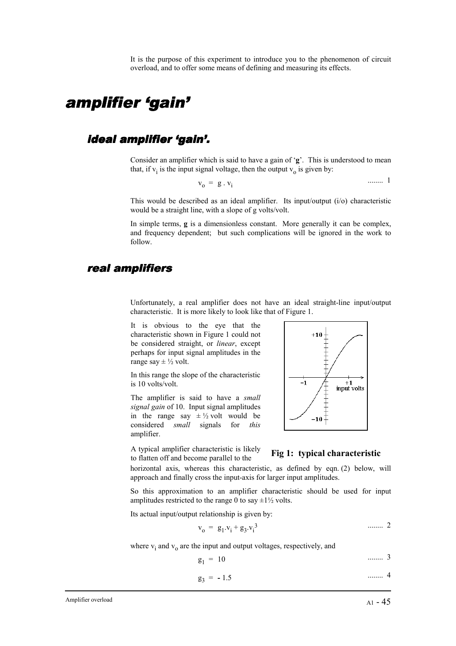It is the purpose of this experiment to introduce you to the phenomenon of circuit overload, and to offer some means of defining and measuring its effects.

### amplifier 'gain'

### ideal amplifier 'gain'.

Consider an amplifier which is said to have a gain of '**g**'. This is understood to mean that, if  $v_i$  is the input signal voltage, then the output  $v_o$  is given by:

$$
\mathbf{v}_o = \mathbf{g} \cdot \mathbf{v}_i \tag{1}
$$

This would be described as an ideal amplifier. Its input/output (i/o) characteristic would be a straight line, with a slope of g volts/volt.

In simple terms,  $g$  is a dimensionless constant. More generally it can be complex, and frequency dependent; but such complications will be ignored in the work to follow.

#### real amplifiers

Unfortunately, a real amplifier does not have an ideal straight-line input/output characteristic. It is more likely to look like that of Figure 1.

It is obvious to the eye that the characteristic shown in Figure 1 could not be considered straight, or *linear*, except perhaps for input signal amplitudes in the range say  $\pm \frac{1}{2}$  volt.

In this range the slope of the characteristic is 10 volts/volt.

The amplifier is said to have a *small signal gain* of 10. Input signal amplitudes in the range say  $\pm \frac{1}{2}$  volt would be considered *small* signals for *this* amplifier.

A typical amplifier characteristic is likely to flatten off and become parallel to the **Fig 1: typical characteristic**



horizontal axis, whereas this characteristic, as defined by eqn. (2) below, will approach and finally cross the input-axis for larger input amplitudes.

So this approximation to an amplifier characteristic should be used for input amplitudes restricted to the range 0 to say  $\pm 1\frac{1}{2}$  volts.

Its actual input/output relationship is given by:

$$
v_0 = g_1 v_1 + g_3 v_1^3 \qquad \qquad \dots \dots \quad 2
$$

where  $v_i$  and  $v_o$  are the input and output voltages, respectively, and

$$
g_1 = 10 \qquad \qquad \dots \dots \quad 3
$$

$$
g_3 = -1.5 \qquad \qquad \dots \dots \quad 4
$$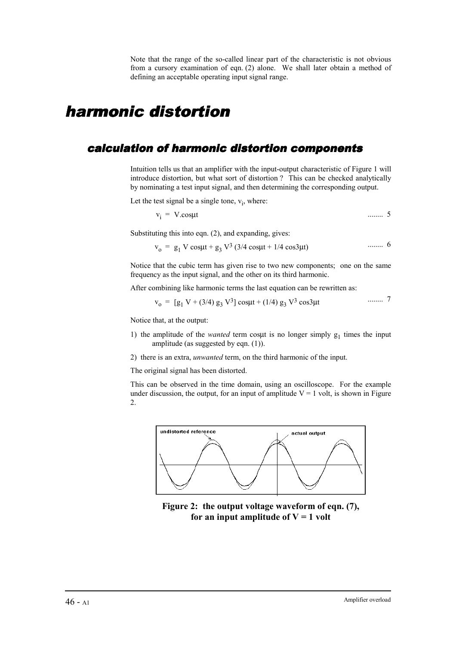Note that the range of the so-called linear part of the characteristic is not obvious from a cursory examination of eqn. (2) alone. We shall later obtain a method of defining an acceptable operating input signal range.

### harmonic distortion

### calculation of harmonic distortion components

Intuition tells us that an amplifier with the input-output characteristic of Figure 1 will introduce distortion, but what sort of distortion ? This can be checked analytically by nominating a test input signal, and then determining the corresponding output.

Let the test signal be a single tone,  $v_i$ , where:

$$
v_i = V \text{.cos} \mu t \qquad \qquad \ldots \qquad 5
$$

Substituting this into eqn. (2), and expanding, gives:

$$
v_0 = g_1 V \cos\mu t + g_3 V^3 (3/4 \cos\mu t + 1/4 \cos 3\mu t)
$$
 ...... 6

Notice that the cubic term has given rise to two new components; one on the same frequency as the input signal, and the other on its third harmonic.

After combining like harmonic terms the last equation can be rewritten as:

$$
v_0 = [g_1 V + (3/4) g_3 V^3] \cos\mu t + (1/4) g_3 V^3 \cos 3\mu t \qquad \qquad \cdots \cdots \qquad 7
$$

Notice that, at the output:

- 1) the amplitude of the *wanted* term cosµt is no longer simply  $g_1$  times the input amplitude (as suggested by eqn. (1)).
- 2) there is an extra, *unwanted* term, on the third harmonic of the input.

The original signal has been distorted.

This can be observed in the time domain, using an oscilloscope. For the example under discussion, the output, for an input of amplitude  $V = 1$  volt, is shown in Figure 2.



**Figure 2: the output voltage waveform of eqn. (7), for an input amplitude of**  $V = 1$  **volt**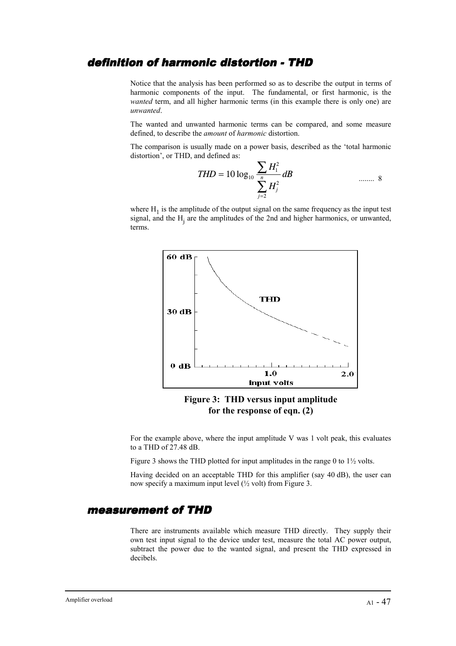### definition of harmonic distortion - THD

Notice that the analysis has been performed so as to describe the output in terms of harmonic components of the input. The fundamental, or first harmonic, is the *wanted* term, and all higher harmonic terms (in this example there is only one) are *unwanted*.

The wanted and unwanted harmonic terms can be compared, and some measure defined, to describe the *amount* of *harmonic* distortion.

The comparison is usually made on a power basis, described as the 'total harmonic distortion', or THD, and defined as:

$$
THD = 10 \log_{10} \frac{\sum_{i} H_i^2}{\sum_{j=2}^{n} H_j^2} dB
$$
 ...... 8

where  $H_1$  is the amplitude of the output signal on the same frequency as the input test signal, and the  $H_j$  are the amplitudes of the 2nd and higher harmonics, or unwanted, terms.



**Figure 3: THD versus input amplitude for the response of eqn. (2)**

For the example above, where the input amplitude V was 1 volt peak, this evaluates to a THD of 27.48 dB.

Figure 3 shows the THD plotted for input amplitudes in the range 0 to  $1\frac{1}{2}$  volts.

Having decided on an acceptable THD for this amplifier (say 40 dB), the user can now specify a maximum input level (½ volt) from Figure 3.

#### measurement of THD

There are instruments available which measure THD directly. They supply their own test input signal to the device under test, measure the total AC power output, subtract the power due to the wanted signal, and present the THD expressed in decibels.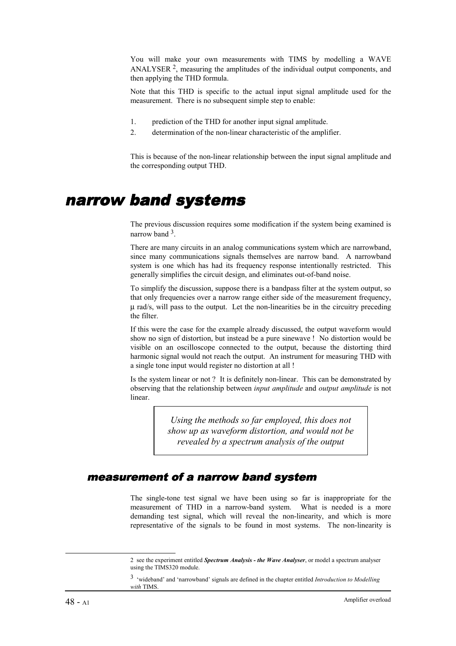You will make your own measurements with TIMS by modelling a WAVE ANALYSER 2, measuring the amplitudes of the individual output components, and then applying the THD formula.

Note that this THD is specific to the actual input signal amplitude used for the measurement. There is no subsequent simple step to enable:

- 1. prediction of the THD for another input signal amplitude.
- 2. determination of the non-linear characteristic of the amplifier.

This is because of the non-linear relationship between the input signal amplitude and the corresponding output THD.

### narrow band systems

The previous discussion requires some modification if the system being examined is narrow band 3.

There are many circuits in an analog communications system which are narrowband, since many communications signals themselves are narrow band. A narrowband system is one which has had its frequency response intentionally restricted. This generally simplifies the circuit design, and eliminates out-of-band noise.

To simplify the discussion, suppose there is a bandpass filter at the system output, so that only frequencies over a narrow range either side of the measurement frequency, µ rad/s, will pass to the output. Let the non-linearities be in the circuitry preceding the filter.

If this were the case for the example already discussed, the output waveform would show no sign of distortion, but instead be a pure sinewave ! No distortion would be visible on an oscilloscope connected to the output, because the distorting third harmonic signal would not reach the output. An instrument for measuring THD with a single tone input would register no distortion at all !

Is the system linear or not ? It is definitely non-linear. This can be demonstrated by observing that the relationship between *input amplitude* and *output amplitude* is not linear.

> *Using the methods so far employed, this does not show up as waveform distortion, and would not be revealed by a spectrum analysis of the output*

### measurement of a narrow band system

The single-tone test signal we have been using so far is inappropriate for the measurement of THD in a narrow-band system. What is needed is a more demanding test signal, which will reveal the non-linearity, and which is more representative of the signals to be found in most systems. The non-linearity is

<sup>2</sup> see the experiment entitled *Spectrum Analysis - the Wave Analyser*, or model a spectrum analyser using the TIMS320 module.

<sup>3 &#</sup>x27;wideband' and 'narrowband' signals are defined in the chapter entitled *Introduction to Modelling with* TIMS.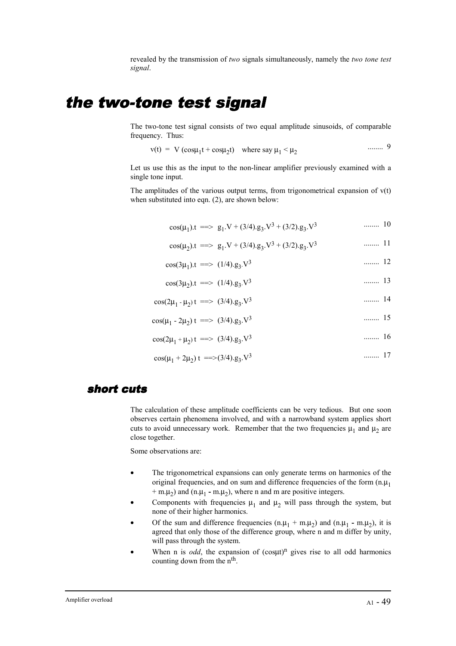revealed by the transmission of *two* signals simultaneously, namely the *two tone test signal*.

### the two-tone test signal

The two-tone test signal consists of two equal amplitude sinusoids, of comparable frequency. Thus:

$$
v(t) = V (cos\mu_1 t + cos\mu_2 t)
$$
 where say  $\mu_1 < \mu_2$  ......9

Let us use this as the input to the non-linear amplifier previously examined with a single tone input.

The amplitudes of the various output terms, from trigonometrical expansion of  $v(t)$ when substituted into eqn. (2), are shown below:

$$
\cos(\mu_1).t \implies g_1.V + (3/4).g_3.V^3 + (3/2).g_3.V^3 \quad \text{......} \quad 10
$$

$$
\cos(\mu_2).t \implies g_1.V + (3/4).g_3.V^3 + (3/2).g_3.V^3 \quad \dots \dots \quad 11
$$

$$
\cos(3\mu_1).t \implies (1/4).g_3.V^3 \qquad \qquad \dots \dots \dots \quad 12
$$

$$
\cos(3\mu_2).t \implies (1/4).g_3.V^3 \quad \dots \dots \quad 13
$$

$$
\cos(2\mu_1 - \mu_2)t \implies (3/4).g_3.V^3 \quad \dots \quad 14
$$

$$
\cos(\mu_1 - 2\mu_2) t \implies (3/4).g_3.V^3 \qquad \qquad \dots \dots \qquad 15
$$

$$
\cos(2\mu_1 + \mu_2)t \implies (3/4).g_3.V^3 \qquad \qquad \dots \dots \qquad 16
$$

$$
\cos(\mu_1 + 2\mu_2) t = \sqrt{(3/4)} \cdot g_3 \cdot V^3 \qquad \qquad \dots \dots \qquad 17
$$

#### short cuts

The calculation of these amplitude coefficients can be very tedious. But one soon observes certain phenomena involved, and with a narrowband system applies short cuts to avoid unnecessary work. Remember that the two frequencies  $\mu_1$  and  $\mu_2$  are close together.

Some observations are:

- The trigonometrical expansions can only generate terms on harmonics of the original frequencies, and on sum and difference frequencies of the form  $(n,\mu_1)$  $+$  m. $\mu$ <sub>2</sub>) and (n. $\mu$ <sub>1</sub> - m. $\mu$ <sub>2</sub>), where n and m are positive integers.
- Components with frequencies  $\mu_1$  and  $\mu_2$  will pass through the system, but none of their higher harmonics.
- Of the sum and difference frequencies  $(n.\mu_1 + m.\mu_2)$  and  $(n.\mu_1 m.\mu_2)$ , it is agreed that only those of the difference group, where n and m differ by unity, will pass through the system.
- When n is *odd*, the expansion of  $(cos $\mu$ t)<sup>n</sup>$  gives rise to all odd harmonics counting down from the n<sup>th</sup>.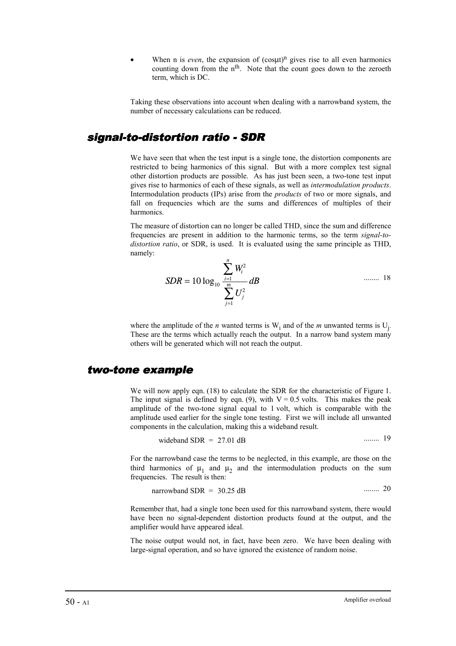When n is *even*, the expansion of  $(cos $\mu$ )<sup>n</sup>$  gives rise to all even harmonics counting down from the  $n<sup>th</sup>$ . Note that the count goes down to the zeroeth term, which is DC.

Taking these observations into account when dealing with a narrowband system, the number of necessary calculations can be reduced.

### signal-to-distortion ratio - SDR

We have seen that when the test input is a single tone, the distortion components are restricted to being harmonics of this signal. But with a more complex test signal other distortion products are possible. As has just been seen, a two-tone test input gives rise to harmonics of each of these signals, as well as *intermodulation products*. Intermodulation products (IPs) arise from the *products* of two or more signals, and fall on frequencies which are the sums and differences of multiples of their harmonics.

The measure of distortion can no longer be called THD, since the sum and difference frequencies are present in addition to the harmonic terms, so the term *signal-todistortion ratio*, or SDR, is used. It is evaluated using the same principle as THD, namely:

$$
SDR = 10 \log_{10} \frac{\sum_{i=1}^{n} W_i^2}{\sum_{j=1}^{m} U_j^2} dB
$$
 ...... 18

where the amplitude of the *n* wanted terms is  $W_i$  and of the *m* unwanted terms is  $U_j$ . These are the terms which actually reach the output. In a narrow band system many others will be generated which will not reach the output.

#### two-tone example

We will now apply eqn. (18) to calculate the SDR for the characteristic of Figure 1. The input signal is defined by eqn. (9), with  $V = 0.5$  volts. This makes the peak amplitude of the two-tone signal equal to 1 volt, which is comparable with the amplitude used earlier for the single tone testing. First we will include all unwanted components in the calculation, making this a wideband result.

$$
wideband SDR = 27.01 dB
$$
 ...... 19

For the narrowband case the terms to be neglected, in this example, are those on the third harmonics of  $\mu_1$  and  $\mu_2$  and the intermodulation products on the sum frequencies. The result is then:

narrowband SDR = 30.25 dB ........ 20

Remember that, had a single tone been used for this narrowband system, there would have been no signal-dependent distortion products found at the output, and the amplifier would have appeared ideal.

The noise output would not, in fact, have been zero. We have been dealing with large-signal operation, and so have ignored the existence of random noise.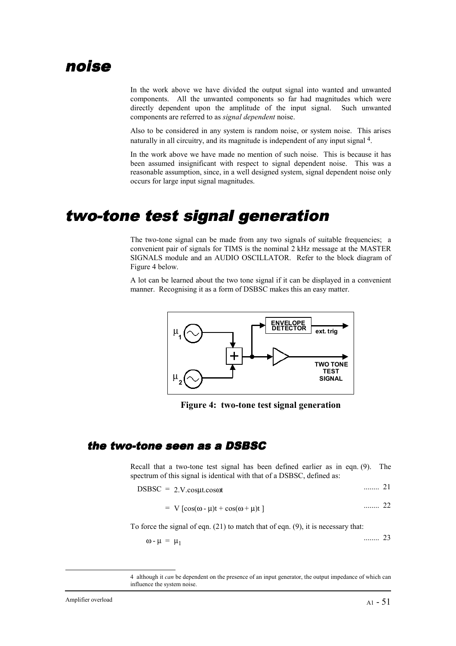### noise

In the work above we have divided the output signal into wanted and unwanted components. All the unwanted components so far had magnitudes which were directly dependent upon the amplitude of the input signal. Such unwanted components are referred to as *signal dependent* noise.

Also to be considered in any system is random noise, or system noise. This arises naturally in all circuitry, and its magnitude is independent of any input signal <sup>4</sup>.

In the work above we have made no mention of such noise. This is because it has been assumed insignificant with respect to signal dependent noise. This was a reasonable assumption, since, in a well designed system, signal dependent noise only occurs for large input signal magnitudes.

## two-tone test signal generation

The two-tone signal can be made from any two signals of suitable frequencies; a convenient pair of signals for TIMS is the nominal 2 kHz message at the MASTER SIGNALS module and an AUDIO OSCILLATOR. Refer to the block diagram of Figure 4 below.

A lot can be learned about the two tone signal if it can be displayed in a convenient manner. Recognising it as a form of DSBSC makes this an easy matter.



**Figure 4: two-tone test signal generation**

### the two-tone seen as a DSBSC

Recall that a two-tone test signal has been defined earlier as in eqn. (9). The spectrum of this signal is identical with that of a DSBSC, defined as:

$$
DSBSC = 2.V. \cos\mu t. \cos\omega t \qquad \qquad \ldots \qquad 21
$$

$$
= V [cos(\omega - \mu)t + cos(\omega + \mu)t ]
$$
 ...... 22

To force the signal of eqn. (21) to match that of eqn. (9), it is necessary that:

$$
\omega - \mu = \mu_1 \quad \text{......} \quad 23
$$

<sup>4</sup> although it *can* be dependent on the presence of an input generator, the output impedance of which can influence the system noise.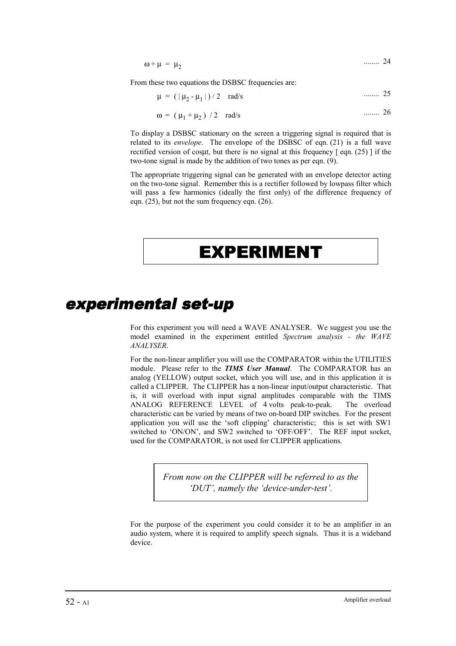$$
\omega + \mu = \mu_2 \qquad \qquad \dots \dots \quad 24
$$

From these two equations the DSBSC frequencies are:

$$
\mu = (|\mu_2 - \mu_1|)/2 \quad \text{rad/s} \tag{25}
$$

$$
\omega = (\mu_1 + \mu_2) / 2 \text{ rad/s}
$$
 ...... 26

To display a DSBSC stationary on the screen a triggering signal is required that is related to its *envelope*. The envelope of the DSBSC of eqn. (21) is a full wave rectified version of cosut, but there is no signal at this frequency  $\lceil$  eqn. (25)  $\rceil$  if the two-tone signal is made by the addition of two tones as per eqn. (9).

The appropriate triggering signal can be generated with an envelope detector acting on the two-tone signal. Remember this is a rectifier followed by lowpass filter which will pass a few harmonics (ideally the first only) of the difference frequency of eqn. (25), but not the sum frequency eqn. (26).

# EXPERIMENT

# experimental set-up

For this experiment you will need a WAVE ANALYSER. We suggest you use the model examined in the experiment entitled *Spectrum analysis - the WAVE ANALYSER*.

For the non-linear amplifier you will use the COMPARATOR within the UTILITIES module. Please refer to the *TIMS User Manual*. The COMPARATOR has an analog (YELLOW) output socket, which you will use, and in this application it is called a CLIPPER. The CLIPPER has a non-linear input/output characteristic. That is, it will overload with input signal amplitudes comparable with the TIMS ANALOG REFERENCE LEVEL of 4 volts peak-to-peak. The overload characteristic can be varied by means of two on-board DIP switches. For the present application you will use the 'soft clipping' characteristic; this is set with SW1 switched to 'ON/ON', and SW2 switched to 'OFF/OFF'. The REF input socket, used for the COMPARATOR, is not used for CLIPPER applications.

> *From now on the CLIPPER will be referred to as the 'DUT', namely the 'device-under-test'.*

For the purpose of the experiment you could consider it to be an amplifier in an audio system, where it is required to amplify speech signals. Thus it is a wideband device.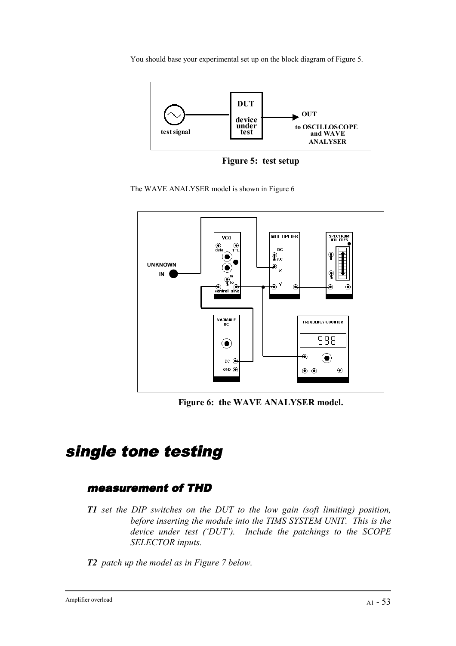You should base your experimental set up on the block diagram of Figure 5.



**Figure 5: test setup**





**Figure 6: the WAVE ANALYSER model.**

# single tone testing

### measurement of THD

- *T1 set the DIP switches on the DUT to the low gain (soft limiting) position, before inserting the module into the TIMS SYSTEM UNIT. This is the device under test ('DUT'). Include the patchings to the SCOPE SELECTOR inputs.*
- *T2 patch up the model as in Figure 7 below.*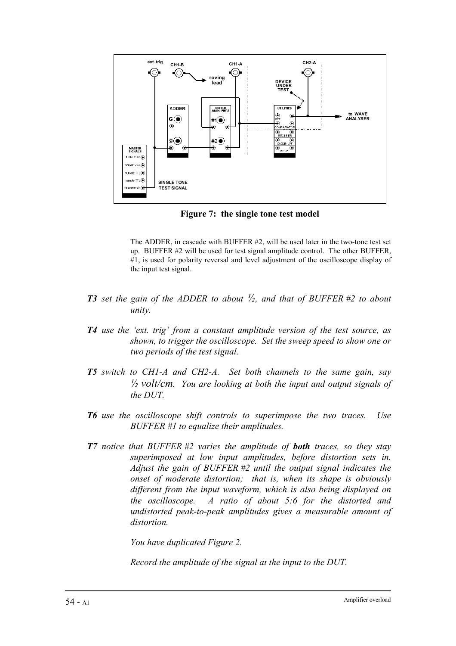

**Figure 7: the single tone test model**

The ADDER, in cascade with BUFFER #2, will be used later in the two-tone test set up. BUFFER #2 will be used for test signal amplitude control. The other BUFFER, #1, is used for polarity reversal and level adjustment of the oscilloscope display of the input test signal.

- *T3 set the gain of the ADDER to about ½, and that of BUFFER #2 to about unity.*
- *T4 use the 'ext. trig' from a constant amplitude version of the test source, as shown, to trigger the oscilloscope. Set the sweep speed to show one or two periods of the test signal.*
- *T5 switch to CH1-A and CH2-A. Set both channels to the same gain, say ½ volt/cm. You are looking at both the input and output signals of the DUT.*
- *T6 use the oscilloscope shift controls to superimpose the two traces. Use BUFFER #1 to equalize their amplitudes.*
- *T7 notice that BUFFER #2 varies the amplitude of both traces, so they stay superimposed at low input amplitudes, before distortion sets in. Adjust the gain of BUFFER #2 until the output signal indicates the onset of moderate distortion; that is, when its shape is obviously different from the input waveform, which is also being displayed on the oscilloscope. A ratio of about 5:6 for the distorted and undistorted peak-to-peak amplitudes gives a measurable amount of distortion.*

*You have duplicated Figure 2.*

*Record the amplitude of the signal at the input to the DUT.*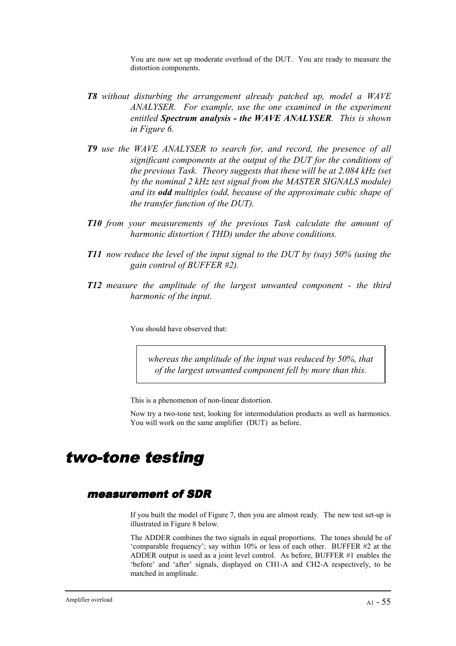You are now set up moderate overload of the DUT. You are ready to measure the distortion components.

- *T8 without disturbing the arrangement already patched up, model a WAVE ANALYSER. For example, use the one examined in the experiment entitled Spectrum analysis - the WAVE ANALYSER. This is shown in Figure 6.*
- *T9 use the WAVE ANALYSER to search for, and record, the presence of all significant components at the output of the DUT for the conditions of the previous Task. Theory suggests that these will be at 2.084 kHz (set by the nominal 2 kHz test signal from the MASTER SIGNALS module) and its odd multiples (odd, because of the approximate cubic shape of the transfer function of the DUT).*
- *T10 from your measurements of the previous Task calculate the amount of harmonic distortion ( THD) under the above conditions.*
- *T11 now reduce the level of the input signal to the DUT by (say) 50% (using the gain control of BUFFER #2).*
- *T12 measure the amplitude of the largest unwanted component the third harmonic of the input.*

You should have observed that:

*whereas the amplitude of the input was reduced by 50%, that of the largest unwanted component fell by more than this.*

This is a phenomenon of non-linear distortion.

Now try a two-tone test, looking for intermodulation products as well as harmonics. You will work on the same amplifier (DUT) as before.

### two-tone testing

### measurement of SDR

If you built the model of Figure 7, then you are almost ready. The new test set-up is illustrated in Figure 8 below.

The ADDER combines the two signals in equal proportions. The tones should be of 'comparable frequency'; say within 10% or less of each other. BUFFER #2 at the ADDER output is used as a joint level control. As before, BUFFER #1 enables the 'before' and 'after' signals, displayed on CH1-A and CH2-A respectively, to be matched in amplitude.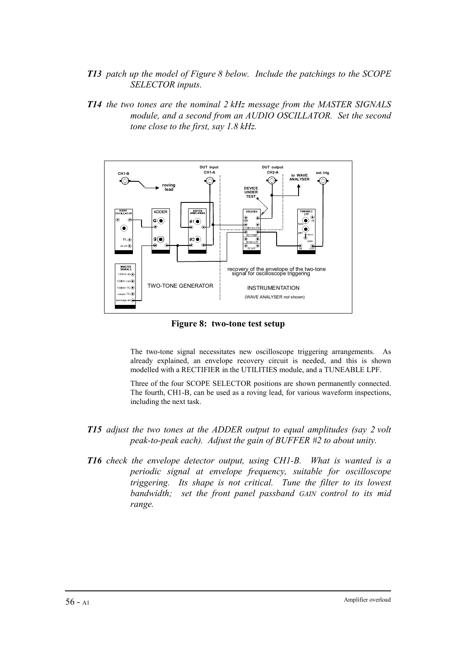- *T13 patch up the model of Figure 8 below. Include the patchings to the SCOPE SELECTOR inputs.*
- *T14 the two tones are the nominal 2 kHz message from the MASTER SIGNALS module, and a second from an AUDIO OSCILLATOR. Set the second tone close to the first, say 1.8 kHz.*



**Figure 8: two-tone test setup**

The two-tone signal necessitates new oscilloscope triggering arrangements. As already explained, an envelope recovery circuit is needed, and this is shown modelled with a RECTIFIER in the UTILITIES module, and a TUNEABLE LPF.

Three of the four SCOPE SELECTOR positions are shown permanently connected. The fourth, CH1-B, can be used as a roving lead, for various waveform inspections, including the next task.

- *T15 adjust the two tones at the ADDER output to equal amplitudes (say 2 volt peak-to-peak each). Adjust the gain of BUFFER #2 to about unity.*
- *T16 check the envelope detector output, using CH1-B. What is wanted is a periodic signal at envelope frequency, suitable for oscilloscope triggering. Its shape is not critical. Tune the filter to its lowest bandwidth; set the front panel passband GAIN control to its mid range.*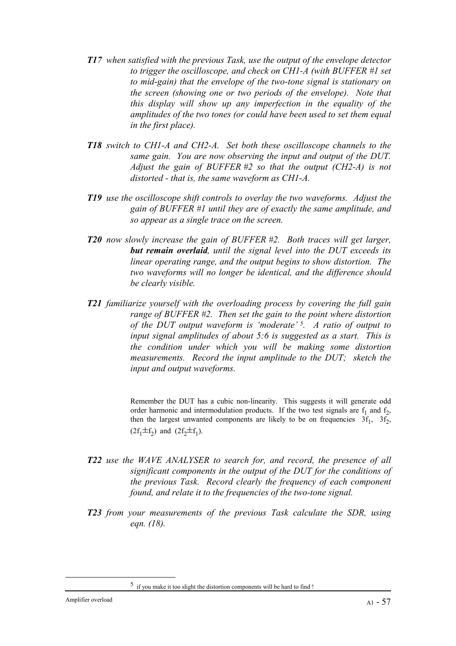- *T17 when satisfied with the previous Task, use the output of the envelope detector to trigger the oscilloscope, and check on CH1-A (with BUFFER #1 set to mid-gain) that the envelope of the two-tone signal is stationary on the screen (showing one or two periods of the envelope). Note that this display will show up any imperfection in the equality of the amplitudes of the two tones (or could have been used to set them equal in the first place).*
- *T18 switch to CH1-A and CH2-A. Set both these oscilloscope channels to the same gain. You are now observing the input and output of the DUT. Adjust the gain of BUFFER #2 so that the output (CH2-A) is not distorted - that is, the same waveform as CH1-A.*
- *T19 use the oscilloscope shift controls to overlay the two waveforms. Adjust the gain of BUFFER #1 until they are of exactly the same amplitude, and so appear as a single trace on the screen.*
- *T20 now slowly increase the gain of BUFFER #2. Both traces will get larger, but remain overlaid, until the signal level into the DUT exceeds its linear operating range, and the output begins to show distortion. The two waveforms will no longer be identical, and the difference should be clearly visible.*
- *T21 familiarize yourself with the overloading process by covering the full gain range of BUFFER #2. Then set the gain to the point where distortion of the DUT output waveform is 'moderate' 5. A ratio of output to input signal amplitudes of about 5:6 is suggested as a start. This is the condition under which you will be making some distortion measurements. Record the input amplitude to the DUT; sketch the input and output waveforms.*

Remember the DUT has a cubic non-linearity. This suggests it will generate odd order harmonic and intermodulation products. If the two test signals are  $f_1$  and  $f_2$ , then the largest unwanted components are likely to be on frequencies  $3f_1$ ,  $3f_2$ ,  $(2f_1 \pm f_2)$  and  $(2f_2 \pm f_1)$ .

- *T22 use the WAVE ANALYSER to search for, and record, the presence of all significant components in the output of the DUT for the conditions of the previous Task. Record clearly the frequency of each component found, and relate it to the frequencies of the two-tone signal.*
- *T23 from your measurements of the previous Task calculate the SDR, using eqn. (18).*

<sup>5</sup> if you make it too slight the distortion components will be hard to find !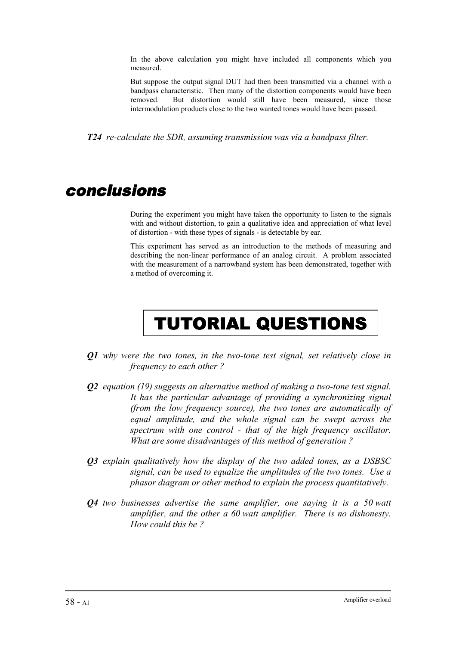In the above calculation you might have included all components which you measured.

But suppose the output signal DUT had then been transmitted via a channel with a bandpass characteristic. Then many of the distortion components would have been removed. But distortion would still have been measured, since those intermodulation products close to the two wanted tones would have been passed.

*T24 re-calculate the SDR, assuming transmission was via a bandpass filter.*

### conclusions

During the experiment you might have taken the opportunity to listen to the signals with and without distortion, to gain a qualitative idea and appreciation of what level of distortion - with these types of signals - is detectable by ear.

This experiment has served as an introduction to the methods of measuring and describing the non-linear performance of an analog circuit. A problem associated with the measurement of a narrowband system has been demonstrated, together with a method of overcoming it.

# TUTORIAL QUESTIONS

- *Q1 why were the two tones, in the two-tone test signal, set relatively close in frequency to each other ?*
- *Q2 equation (19) suggests an alternative method of making a two-tone test signal. It has the particular advantage of providing a synchronizing signal (from the low frequency source), the two tones are automatically of equal amplitude, and the whole signal can be swept across the spectrum with one control - that of the high frequency oscillator. What are some disadvantages of this method of generation ?*
- *Q3 explain qualitatively how the display of the two added tones, as a DSBSC signal, can be used to equalize the amplitudes of the two tones. Use a phasor diagram or other method to explain the process quantitatively.*
- *Q4 two businesses advertise the same amplifier, one saying it is a 50 watt amplifier, and the other a 60 watt amplifier. There is no dishonesty. How could this be ?*